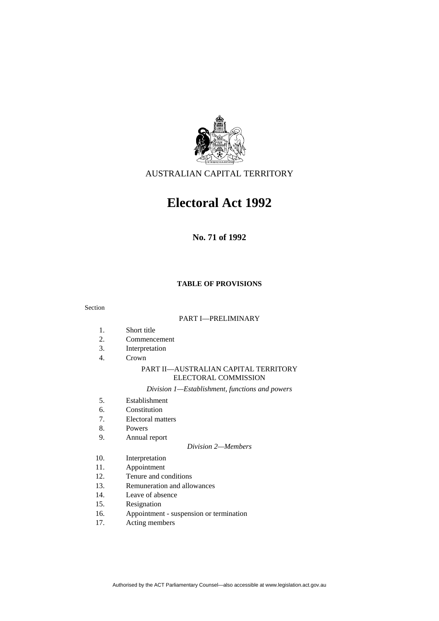

# AUSTRALIAN CAPITAL TERRITORY

# **Electoral Act 1992**

**No. 71 of 1992** 

# **TABLE OF PROVISIONS**

Section

#### PART I—PRELIMINARY

- 1. Short title
- 2. Commencement
- 3. Interpretation
- 4. Crown

#### PART II—AUSTRALIAN CAPITAL TERRITORY ELECTORAL COMMISSION

*Division 1—Establishment, functions and powers* 

- 5. Establishment
- 6. Constitution
- 7. Electoral matters
- 8. Powers
- 9. Annual report

#### *Division 2—Members*

- 10. Interpretation
- 11. Appointment
- 12. Tenure and conditions
- 13. Remuneration and allowances
- 14. Leave of absence
- 15. Resignation
- 16. Appointment suspension or termination
- 17. Acting members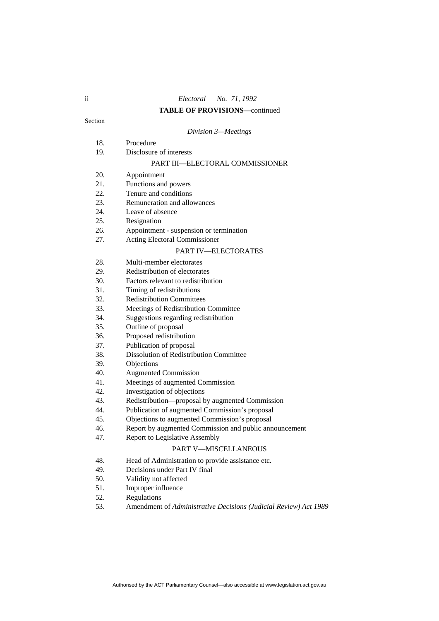## **TABLE OF PROVISIONS**—continued

#### Section

#### *Division 3—Meetings*

- 18. Procedure
- 19. Disclosure of interests

#### PART III—ELECTORAL COMMISSIONER

- 20. Appointment
- 21. Functions and powers
- 22. Tenure and conditions
- 23. Remuneration and allowances
- 24. Leave of absence
- 25. Resignation
- 26. Appointment suspension or termination
- 27. Acting Electoral Commissioner

#### PART IV—ELECTORATES

- 28. Multi-member electorates
- 29. Redistribution of electorates
- 30. Factors relevant to redistribution
- 31. Timing of redistributions
- 32. Redistribution Committees
- 33. Meetings of Redistribution Committee
- 34. Suggestions regarding redistribution
- 35. Outline of proposal
- 36. Proposed redistribution
- 37. Publication of proposal
- 38. Dissolution of Redistribution Committee
- 39. Objections
- 40. Augmented Commission
- 41. Meetings of augmented Commission
- 42. Investigation of objections
- 43. Redistribution—proposal by augmented Commission
- 44. Publication of augmented Commission's proposal
- 45. Objections to augmented Commission's proposal
- 46. Report by augmented Commission and public announcement
- 47. Report to Legislative Assembly

#### PART V—MISCELLANEOUS

- 48. Head of Administration to provide assistance etc.
- 49. Decisions under Part IV final
- 50. Validity not affected
- 51. Improper influence
- 52. Regulations
- 53. Amendment of *Administrative Decisions (Judicial Review) Act 1989*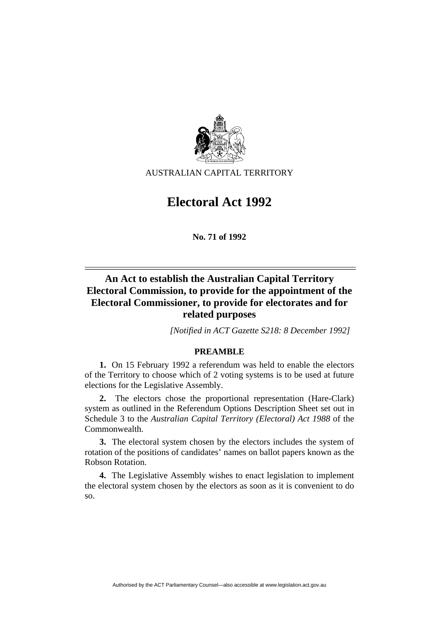

AUSTRALIAN CAPITAL TERRITORY

# **Electoral Act 1992**

**No. 71 of 1992** 

# **An Act to establish the Australian Capital Territory Electoral Commission, to provide for the appointment of the Electoral Commissioner, to provide for electorates and for related purposes**

*[Notified in ACT Gazette S218: 8 December 1992]*

# **PREAMBLE**

**1.** On 15 February 1992 a referendum was held to enable the electors of the Territory to choose which of 2 voting systems is to be used at future elections for the Legislative Assembly.

**2.** The electors chose the proportional representation (Hare-Clark) system as outlined in the Referendum Options Description Sheet set out in Schedule 3 to the *Australian Capital Territory (Electoral) Act 1988* of the Commonwealth.

**3.** The electoral system chosen by the electors includes the system of rotation of the positions of candidates' names on ballot papers known as the Robson Rotation.

**4.** The Legislative Assembly wishes to enact legislation to implement the electoral system chosen by the electors as soon as it is convenient to do so.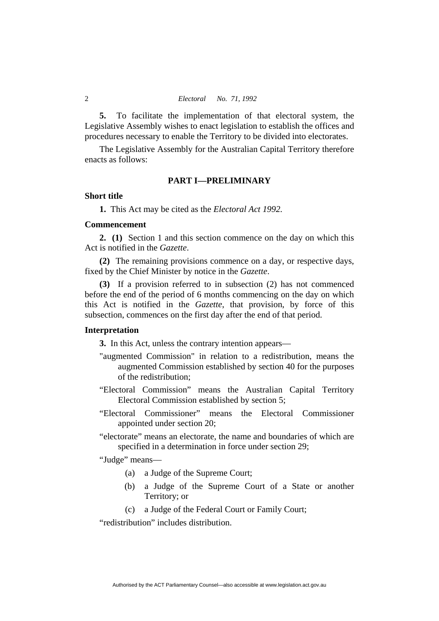**5.** To facilitate the implementation of that electoral system, the Legislative Assembly wishes to enact legislation to establish the offices and procedures necessary to enable the Territory to be divided into electorates.

 The Legislative Assembly for the Australian Capital Territory therefore enacts as follows:

### **PART I—PRELIMINARY**

#### **Short title**

**1.** This Act may be cited as the *Electoral Act 1992.*

#### **Commencement**

**2. (1)** Section 1 and this section commence on the day on which this Act is notified in the *Gazette*.

**(2)** The remaining provisions commence on a day, or respective days, fixed by the Chief Minister by notice in the *Gazette*.

**(3)** If a provision referred to in subsection (2) has not commenced before the end of the period of 6 months commencing on the day on which this Act is notified in the *Gazette*, that provision, by force of this subsection, commences on the first day after the end of that period.

#### **Interpretation**

**3.** In this Act, unless the contrary intention appears—

- "augmented Commission" in relation to a redistribution, means the augmented Commission established by section 40 for the purposes of the redistribution;
- "Electoral Commission" means the Australian Capital Territory Electoral Commission established by section 5;
- "Electoral Commissioner" means the Electoral Commissioner appointed under section 20;
- "electorate" means an electorate, the name and boundaries of which are specified in a determination in force under section 29;

"Judge" means—

- (a) a Judge of the Supreme Court;
- (b) a Judge of the Supreme Court of a State or another Territory; or
- (c) a Judge of the Federal Court or Family Court;

"redistribution" includes distribution.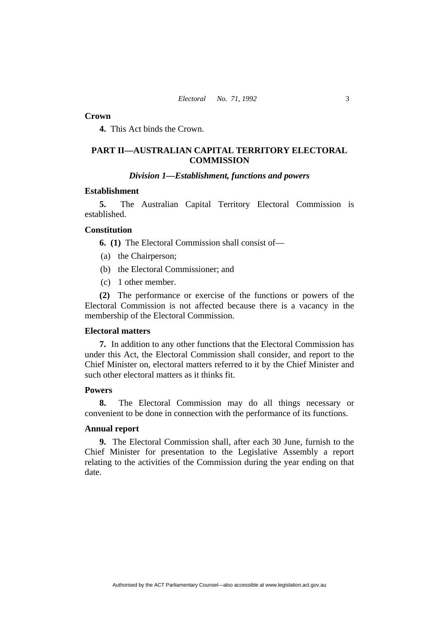#### **Crown**

**4.** This Act binds the Crown.

# **PART II—AUSTRALIAN CAPITAL TERRITORY ELECTORAL COMMISSION**

# *Division 1—Establishment, functions and powers*

# **Establishment**

**5.** The Australian Capital Territory Electoral Commission is established.

## **Constitution**

**6. (1)** The Electoral Commission shall consist of—

- (a) the Chairperson;
- (b) the Electoral Commissioner; and
- (c) 1 other member.

**(2)** The performance or exercise of the functions or powers of the Electoral Commission is not affected because there is a vacancy in the membership of the Electoral Commission.

#### **Electoral matters**

**7.** In addition to any other functions that the Electoral Commission has under this Act, the Electoral Commission shall consider, and report to the Chief Minister on, electoral matters referred to it by the Chief Minister and such other electoral matters as it thinks fit.

# **Powers**

**8.** The Electoral Commission may do all things necessary or convenient to be done in connection with the performance of its functions.

#### **Annual report**

**9.** The Electoral Commission shall, after each 30 June, furnish to the Chief Minister for presentation to the Legislative Assembly a report relating to the activities of the Commission during the year ending on that date.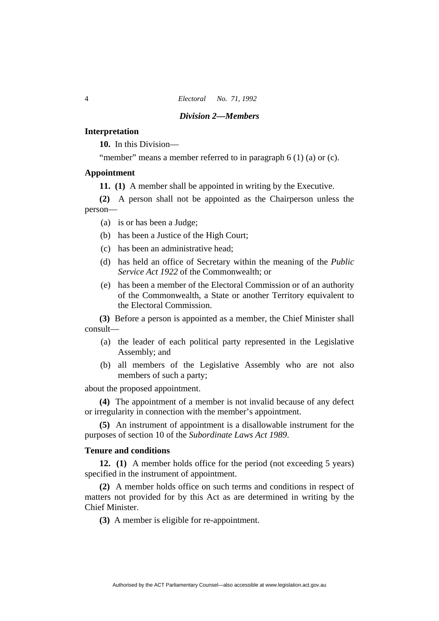# *Division 2—Members*

#### **Interpretation**

**10.** In this Division—

"member" means a member referred to in paragraph 6 (1) (a) or (c).

# **Appointment**

**11. (1)** A member shall be appointed in writing by the Executive.

**(2)** A person shall not be appointed as the Chairperson unless the person—

- (a) is or has been a Judge;
- (b) has been a Justice of the High Court;
- (c) has been an administrative head;
- (d) has held an office of Secretary within the meaning of the *Public Service Act 1922* of the Commonwealth; or
- (e) has been a member of the Electoral Commission or of an authority of the Commonwealth, a State or another Territory equivalent to the Electoral Commission.

**(3)** Before a person is appointed as a member, the Chief Minister shall consult—

- (a) the leader of each political party represented in the Legislative Assembly; and
- (b) all members of the Legislative Assembly who are not also members of such a party;

about the proposed appointment.

**(4)** The appointment of a member is not invalid because of any defect or irregularity in connection with the member's appointment.

**(5)** An instrument of appointment is a disallowable instrument for the purposes of section 10 of the *Subordinate Laws Act 1989*.

# **Tenure and conditions**

**12. (1)** A member holds office for the period (not exceeding 5 years) specified in the instrument of appointment.

**(2)** A member holds office on such terms and conditions in respect of matters not provided for by this Act as are determined in writing by the Chief Minister.

**(3)** A member is eligible for re-appointment.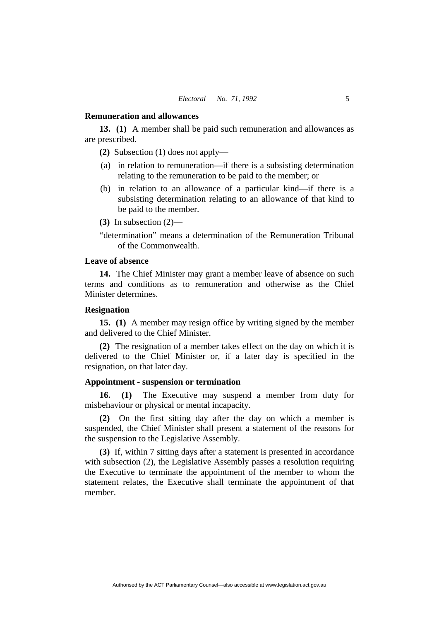#### **Remuneration and allowances**

**13. (1)** A member shall be paid such remuneration and allowances as are prescribed.

**(2)** Subsection (1) does not apply—

- (a) in relation to remuneration—if there is a subsisting determination relating to the remuneration to be paid to the member; or
- (b) in relation to an allowance of a particular kind—if there is a subsisting determination relating to an allowance of that kind to be paid to the member.
- **(3)** In subsection (2)—
- "determination" means a determination of the Remuneration Tribunal of the Commonwealth.

### **Leave of absence**

**14.** The Chief Minister may grant a member leave of absence on such terms and conditions as to remuneration and otherwise as the Chief Minister determines.

#### **Resignation**

**15. (1)** A member may resign office by writing signed by the member and delivered to the Chief Minister.

**(2)** The resignation of a member takes effect on the day on which it is delivered to the Chief Minister or, if a later day is specified in the resignation, on that later day.

#### **Appointment - suspension or termination**

**16. (1)** The Executive may suspend a member from duty for misbehaviour or physical or mental incapacity.

**(2)** On the first sitting day after the day on which a member is suspended, the Chief Minister shall present a statement of the reasons for the suspension to the Legislative Assembly.

**(3)** If, within 7 sitting days after a statement is presented in accordance with subsection (2), the Legislative Assembly passes a resolution requiring the Executive to terminate the appointment of the member to whom the statement relates, the Executive shall terminate the appointment of that member.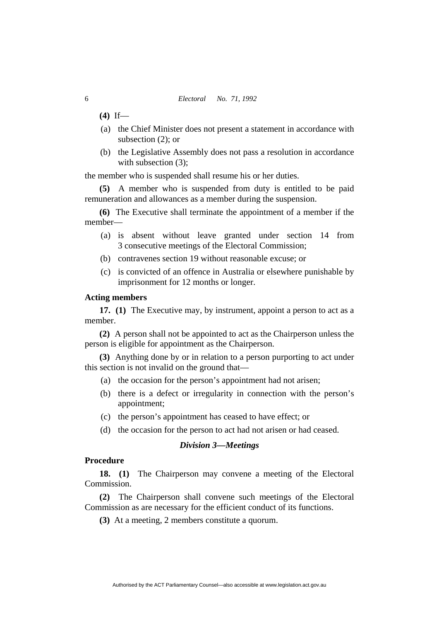### 6 *Electoral No. 71, 1992*

- **(4)** If—
- (a) the Chief Minister does not present a statement in accordance with subsection (2); or
- (b) the Legislative Assembly does not pass a resolution in accordance with subsection (3);

the member who is suspended shall resume his or her duties.

**(5)** A member who is suspended from duty is entitled to be paid remuneration and allowances as a member during the suspension.

**(6)** The Executive shall terminate the appointment of a member if the member—

- (a) is absent without leave granted under section 14 from 3 consecutive meetings of the Electoral Commission;
- (b) contravenes section 19 without reasonable excuse; or
- (c) is convicted of an offence in Australia or elsewhere punishable by imprisonment for 12 months or longer.

#### **Acting members**

**17. (1)** The Executive may, by instrument, appoint a person to act as a member.

**(2)** A person shall not be appointed to act as the Chairperson unless the person is eligible for appointment as the Chairperson.

**(3)** Anything done by or in relation to a person purporting to act under this section is not invalid on the ground that—

- (a) the occasion for the person's appointment had not arisen;
- (b) there is a defect or irregularity in connection with the person's appointment;
- (c) the person's appointment has ceased to have effect; or
- (d) the occasion for the person to act had not arisen or had ceased.

# *Division 3—Meetings*

#### **Procedure**

**18. (1)** The Chairperson may convene a meeting of the Electoral Commission.

**(2)** The Chairperson shall convene such meetings of the Electoral Commission as are necessary for the efficient conduct of its functions.

**(3)** At a meeting, 2 members constitute a quorum.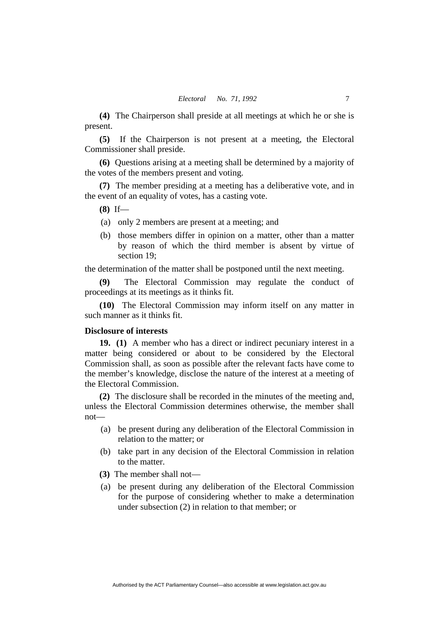**(4)** The Chairperson shall preside at all meetings at which he or she is present.

**(5)** If the Chairperson is not present at a meeting, the Electoral Commissioner shall preside.

**(6)** Questions arising at a meeting shall be determined by a majority of the votes of the members present and voting.

**(7)** The member presiding at a meeting has a deliberative vote, and in the event of an equality of votes, has a casting vote.

**(8)** If—

- (a) only 2 members are present at a meeting; and
- (b) those members differ in opinion on a matter, other than a matter by reason of which the third member is absent by virtue of section 19;

the determination of the matter shall be postponed until the next meeting.

**(9)** The Electoral Commission may regulate the conduct of proceedings at its meetings as it thinks fit.

**(10)** The Electoral Commission may inform itself on any matter in such manner as it thinks fit.

#### **Disclosure of interests**

**19. (1)** A member who has a direct or indirect pecuniary interest in a matter being considered or about to be considered by the Electoral Commission shall, as soon as possible after the relevant facts have come to the member's knowledge, disclose the nature of the interest at a meeting of the Electoral Commission.

**(2)** The disclosure shall be recorded in the minutes of the meeting and, unless the Electoral Commission determines otherwise, the member shall not—

- (a) be present during any deliberation of the Electoral Commission in relation to the matter; or
- (b) take part in any decision of the Electoral Commission in relation to the matter.
- **(3)** The member shall not—
- (a) be present during any deliberation of the Electoral Commission for the purpose of considering whether to make a determination under subsection (2) in relation to that member; or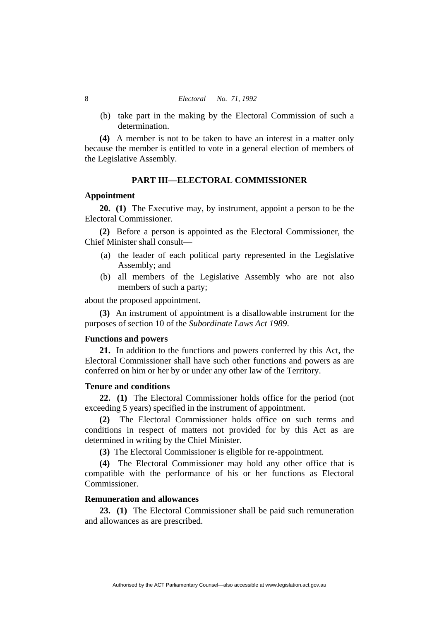(b) take part in the making by the Electoral Commission of such a determination.

**(4)** A member is not to be taken to have an interest in a matter only because the member is entitled to vote in a general election of members of the Legislative Assembly.

#### **PART III—ELECTORAL COMMISSIONER**

#### **Appointment**

**20. (1)** The Executive may, by instrument, appoint a person to be the Electoral Commissioner.

**(2)** Before a person is appointed as the Electoral Commissioner, the Chief Minister shall consult—

- (a) the leader of each political party represented in the Legislative Assembly; and
- (b) all members of the Legislative Assembly who are not also members of such a party;

about the proposed appointment.

**(3)** An instrument of appointment is a disallowable instrument for the purposes of section 10 of the *Subordinate Laws Act 1989*.

#### **Functions and powers**

**21.** In addition to the functions and powers conferred by this Act, the Electoral Commissioner shall have such other functions and powers as are conferred on him or her by or under any other law of the Territory.

## **Tenure and conditions**

**22. (1)** The Electoral Commissioner holds office for the period (not exceeding 5 years) specified in the instrument of appointment.

**(2)** The Electoral Commissioner holds office on such terms and conditions in respect of matters not provided for by this Act as are determined in writing by the Chief Minister.

**(3)** The Electoral Commissioner is eligible for re-appointment.

**(4)** The Electoral Commissioner may hold any other office that is compatible with the performance of his or her functions as Electoral Commissioner.

# **Remuneration and allowances**

**23. (1)** The Electoral Commissioner shall be paid such remuneration and allowances as are prescribed.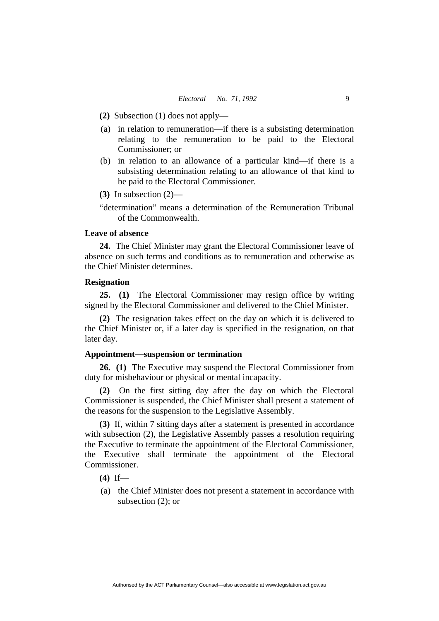- **(2)** Subsection (1) does not apply—
- (a) in relation to remuneration—if there is a subsisting determination relating to the remuneration to be paid to the Electoral Commissioner; or
- (b) in relation to an allowance of a particular kind—if there is a subsisting determination relating to an allowance of that kind to be paid to the Electoral Commissioner.
- **(3)** In subsection (2)—
- "determination" means a determination of the Remuneration Tribunal of the Commonwealth.

## **Leave of absence**

**24.** The Chief Minister may grant the Electoral Commissioner leave of absence on such terms and conditions as to remuneration and otherwise as the Chief Minister determines.

# **Resignation**

**25. (1)** The Electoral Commissioner may resign office by writing signed by the Electoral Commissioner and delivered to the Chief Minister.

**(2)** The resignation takes effect on the day on which it is delivered to the Chief Minister or, if a later day is specified in the resignation, on that later day.

# **Appointment—suspension or termination**

**26. (1)** The Executive may suspend the Electoral Commissioner from duty for misbehaviour or physical or mental incapacity.

**(2)** On the first sitting day after the day on which the Electoral Commissioner is suspended, the Chief Minister shall present a statement of the reasons for the suspension to the Legislative Assembly.

**(3)** If, within 7 sitting days after a statement is presented in accordance with subsection (2), the Legislative Assembly passes a resolution requiring the Executive to terminate the appointment of the Electoral Commissioner, the Executive shall terminate the appointment of the Electoral Commissioner.

**(4)** If—

 (a) the Chief Minister does not present a statement in accordance with subsection (2); or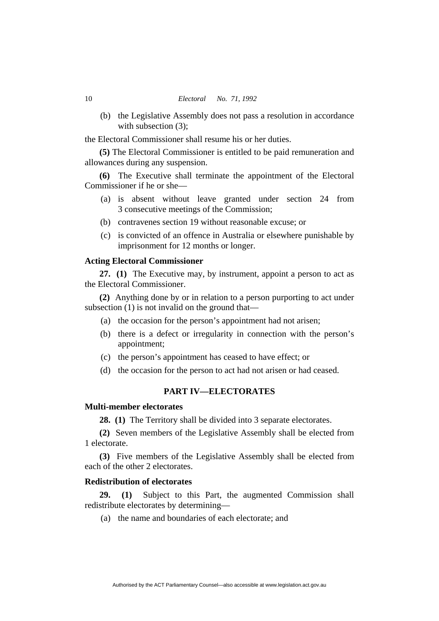(b) the Legislative Assembly does not pass a resolution in accordance with subsection (3):

the Electoral Commissioner shall resume his or her duties.

**(5)** The Electoral Commissioner is entitled to be paid remuneration and allowances during any suspension.

**(6)** The Executive shall terminate the appointment of the Electoral Commissioner if he or she—

- (a) is absent without leave granted under section 24 from 3 consecutive meetings of the Commission;
- (b) contravenes section 19 without reasonable excuse; or
- (c) is convicted of an offence in Australia or elsewhere punishable by imprisonment for 12 months or longer.

# **Acting Electoral Commissioner**

**27. (1)** The Executive may, by instrument, appoint a person to act as the Electoral Commissioner.

**(2)** Anything done by or in relation to a person purporting to act under subsection (1) is not invalid on the ground that—

- (a) the occasion for the person's appointment had not arisen;
- (b) there is a defect or irregularity in connection with the person's appointment;
- (c) the person's appointment has ceased to have effect; or
- (d) the occasion for the person to act had not arisen or had ceased.

# **PART IV—ELECTORATES**

# **Multi-member electorates**

**28. (1)** The Territory shall be divided into 3 separate electorates.

**(2)** Seven members of the Legislative Assembly shall be elected from 1 electorate.

**(3)** Five members of the Legislative Assembly shall be elected from each of the other 2 electorates.

# **Redistribution of electorates**

**29. (1)** Subject to this Part, the augmented Commission shall redistribute electorates by determining—

(a) the name and boundaries of each electorate; and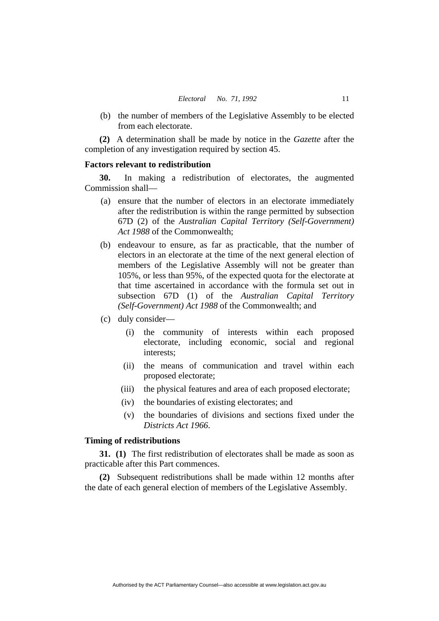(b) the number of members of the Legislative Assembly to be elected from each electorate.

**(2)** A determination shall be made by notice in the *Gazette* after the completion of any investigation required by section 45.

# **Factors relevant to redistribution**

**30.** In making a redistribution of electorates, the augmented Commission shall—

- (a) ensure that the number of electors in an electorate immediately after the redistribution is within the range permitted by subsection 67D (2) of the *Australian Capital Territory (Self-Government) Act 1988* of the Commonwealth;
- (b) endeavour to ensure, as far as practicable, that the number of electors in an electorate at the time of the next general election of members of the Legislative Assembly will not be greater than 105%, or less than 95%, of the expected quota for the electorate at that time ascertained in accordance with the formula set out in subsection 67D (1) of the *Australian Capital Territory (Self-Government) Act 1988* of the Commonwealth; and
- (c) duly consider—
	- (i) the community of interests within each proposed electorate, including economic, social and regional interests;
	- (ii) the means of communication and travel within each proposed electorate;
	- (iii) the physical features and area of each proposed electorate;
	- (iv) the boundaries of existing electorates; and
	- (v) the boundaries of divisions and sections fixed under the *Districts Act 1966*.

# **Timing of redistributions**

**31. (1)** The first redistribution of electorates shall be made as soon as practicable after this Part commences.

**(2)** Subsequent redistributions shall be made within 12 months after the date of each general election of members of the Legislative Assembly.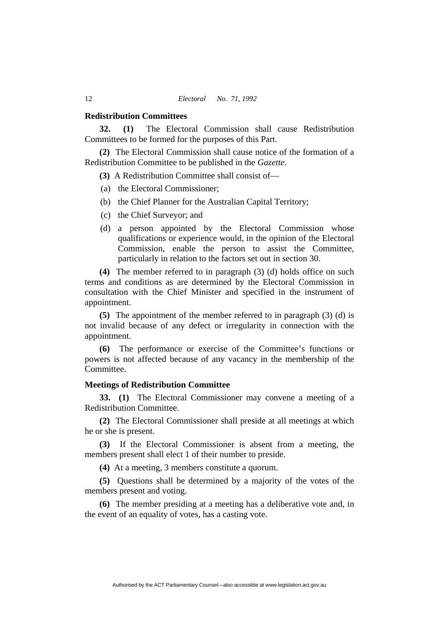#### **Redistribution Committees**

**32. (1)** The Electoral Commission shall cause Redistribution Committees to be formed for the purposes of this Part.

**(2)** The Electoral Commission shall cause notice of the formation of a Redistribution Committee to be published in the *Gazette*.

**(3)** A Redistribution Committee shall consist of—

- (a) the Electoral Commissioner;
- (b) the Chief Planner for the Australian Capital Territory;
- (c) the Chief Surveyor; and
- (d) a person appointed by the Electoral Commission whose qualifications or experience would, in the opinion of the Electoral Commission, enable the person to assist the Committee, particularly in relation to the factors set out in section 30.

**(4)** The member referred to in paragraph (3) (d) holds office on such terms and conditions as are determined by the Electoral Commission in consultation with the Chief Minister and specified in the instrument of appointment.

**(5)** The appointment of the member referred to in paragraph (3) (d) is not invalid because of any defect or irregularity in connection with the appointment.

**(6)** The performance or exercise of the Committee's functions or powers is not affected because of any vacancy in the membership of the Committee.

# **Meetings of Redistribution Committee**

**33. (1)** The Electoral Commissioner may convene a meeting of a Redistribution Committee.

**(2)** The Electoral Commissioner shall preside at all meetings at which he or she is present.

**(3)** If the Electoral Commissioner is absent from a meeting, the members present shall elect 1 of their number to preside.

**(4)** At a meeting, 3 members constitute a quorum.

**(5)** Questions shall be determined by a majority of the votes of the members present and voting.

**(6)** The member presiding at a meeting has a deliberative vote and, in the event of an equality of votes, has a casting vote.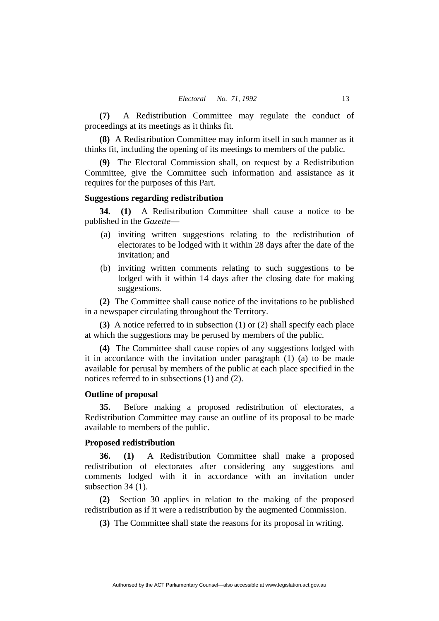**(7)** A Redistribution Committee may regulate the conduct of proceedings at its meetings as it thinks fit.

**(8)** A Redistribution Committee may inform itself in such manner as it thinks fit, including the opening of its meetings to members of the public.

**(9)** The Electoral Commission shall, on request by a Redistribution Committee, give the Committee such information and assistance as it requires for the purposes of this Part.

## **Suggestions regarding redistribution**

**34. (1)** A Redistribution Committee shall cause a notice to be published in the *Gazette*—

- (a) inviting written suggestions relating to the redistribution of electorates to be lodged with it within 28 days after the date of the invitation; and
- (b) inviting written comments relating to such suggestions to be lodged with it within 14 days after the closing date for making suggestions.

**(2)** The Committee shall cause notice of the invitations to be published in a newspaper circulating throughout the Territory.

**(3)** A notice referred to in subsection (1) or (2) shall specify each place at which the suggestions may be perused by members of the public.

**(4)** The Committee shall cause copies of any suggestions lodged with it in accordance with the invitation under paragraph (1) (a) to be made available for perusal by members of the public at each place specified in the notices referred to in subsections (1) and (2).

#### **Outline of proposal**

**35.** Before making a proposed redistribution of electorates, a Redistribution Committee may cause an outline of its proposal to be made available to members of the public.

# **Proposed redistribution**

**36. (1)** A Redistribution Committee shall make a proposed redistribution of electorates after considering any suggestions and comments lodged with it in accordance with an invitation under subsection 34 (1).

**(2)** Section 30 applies in relation to the making of the proposed redistribution as if it were a redistribution by the augmented Commission.

**(3)** The Committee shall state the reasons for its proposal in writing.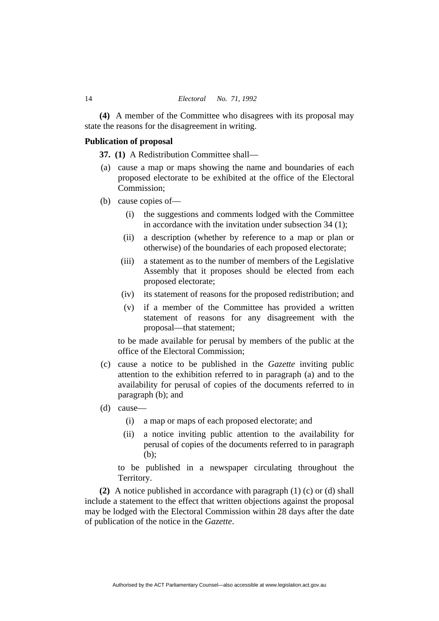**(4)** A member of the Committee who disagrees with its proposal may state the reasons for the disagreement in writing.

# **Publication of proposal**

**37. (1)** A Redistribution Committee shall—

- (a) cause a map or maps showing the name and boundaries of each proposed electorate to be exhibited at the office of the Electoral Commission;
- (b) cause copies of—
	- (i) the suggestions and comments lodged with the Committee in accordance with the invitation under subsection 34 (1);
	- (ii) a description (whether by reference to a map or plan or otherwise) of the boundaries of each proposed electorate;
	- (iii) a statement as to the number of members of the Legislative Assembly that it proposes should be elected from each proposed electorate;
	- (iv) its statement of reasons for the proposed redistribution; and
	- (v) if a member of the Committee has provided a written statement of reasons for any disagreement with the proposal—that statement;

to be made available for perusal by members of the public at the office of the Electoral Commission;

- (c) cause a notice to be published in the *Gazette* inviting public attention to the exhibition referred to in paragraph (a) and to the availability for perusal of copies of the documents referred to in paragraph (b); and
- (d) cause—
	- (i) a map or maps of each proposed electorate; and
	- (ii) a notice inviting public attention to the availability for perusal of copies of the documents referred to in paragraph (b);

to be published in a newspaper circulating throughout the Territory.

**(2)** A notice published in accordance with paragraph (1) (c) or (d) shall include a statement to the effect that written objections against the proposal may be lodged with the Electoral Commission within 28 days after the date of publication of the notice in the *Gazette*.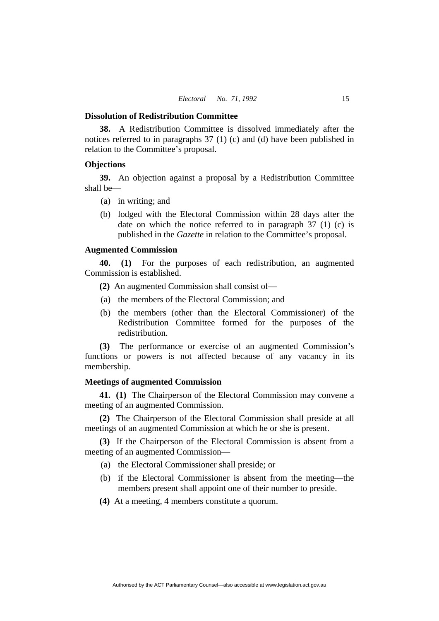#### **Dissolution of Redistribution Committee**

**38.** A Redistribution Committee is dissolved immediately after the notices referred to in paragraphs 37 (1) (c) and (d) have been published in relation to the Committee's proposal.

# **Objections**

**39.** An objection against a proposal by a Redistribution Committee shall be—

- (a) in writing; and
- (b) lodged with the Electoral Commission within 28 days after the date on which the notice referred to in paragraph 37 (1) (c) is published in the *Gazette* in relation to the Committee's proposal.

### **Augmented Commission**

**40. (1)** For the purposes of each redistribution, an augmented Commission is established.

- **(2)** An augmented Commission shall consist of—
- (a) the members of the Electoral Commission; and
- (b) the members (other than the Electoral Commissioner) of the Redistribution Committee formed for the purposes of the redistribution.

**(3)** The performance or exercise of an augmented Commission's functions or powers is not affected because of any vacancy in its membership.

#### **Meetings of augmented Commission**

**41. (1)** The Chairperson of the Electoral Commission may convene a meeting of an augmented Commission.

**(2)** The Chairperson of the Electoral Commission shall preside at all meetings of an augmented Commission at which he or she is present.

**(3)** If the Chairperson of the Electoral Commission is absent from a meeting of an augmented Commission—

- (a) the Electoral Commissioner shall preside; or
- (b) if the Electoral Commissioner is absent from the meeting—the members present shall appoint one of their number to preside.
- **(4)** At a meeting, 4 members constitute a quorum.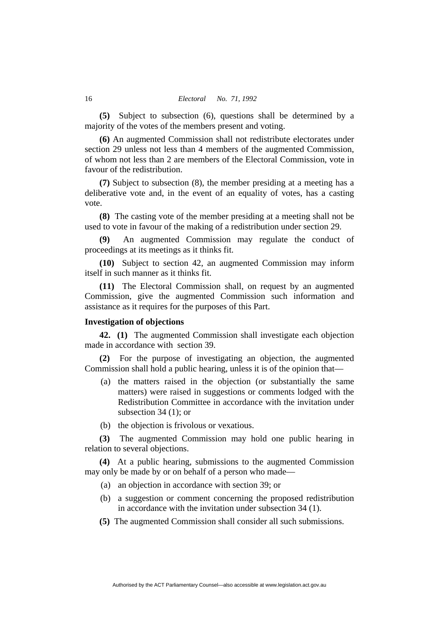**(5)** Subject to subsection (6), questions shall be determined by a majority of the votes of the members present and voting.

**(6)** An augmented Commission shall not redistribute electorates under section 29 unless not less than 4 members of the augmented Commission, of whom not less than 2 are members of the Electoral Commission, vote in favour of the redistribution.

**(7)** Subject to subsection (8), the member presiding at a meeting has a deliberative vote and, in the event of an equality of votes, has a casting vote.

**(8)** The casting vote of the member presiding at a meeting shall not be used to vote in favour of the making of a redistribution under section 29.

**(9)** An augmented Commission may regulate the conduct of proceedings at its meetings as it thinks fit.

**(10)** Subject to section 42, an augmented Commission may inform itself in such manner as it thinks fit.

**(11)** The Electoral Commission shall, on request by an augmented Commission, give the augmented Commission such information and assistance as it requires for the purposes of this Part.

# **Investigation of objections**

**42. (1)** The augmented Commission shall investigate each objection made in accordance with section 39.

**(2)** For the purpose of investigating an objection, the augmented Commission shall hold a public hearing, unless it is of the opinion that—

- (a) the matters raised in the objection (or substantially the same matters) were raised in suggestions or comments lodged with the Redistribution Committee in accordance with the invitation under subsection 34 (1); or
- (b) the objection is frivolous or vexatious.

**(3)** The augmented Commission may hold one public hearing in relation to several objections.

**(4)** At a public hearing, submissions to the augmented Commission may only be made by or on behalf of a person who made—

- (a) an objection in accordance with section 39; or
- (b) a suggestion or comment concerning the proposed redistribution in accordance with the invitation under subsection 34 (1).
- **(5)** The augmented Commission shall consider all such submissions.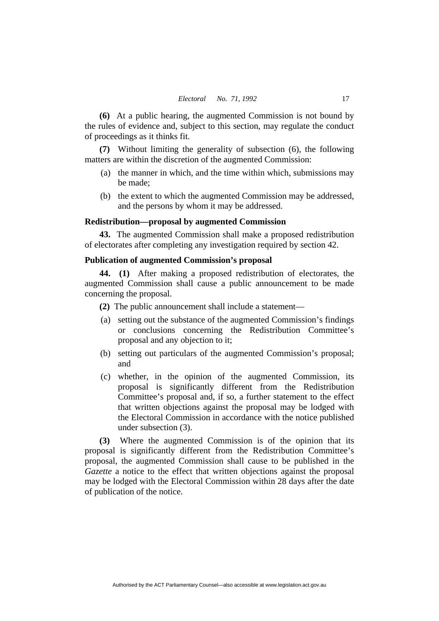**(6)** At a public hearing, the augmented Commission is not bound by the rules of evidence and, subject to this section, may regulate the conduct of proceedings as it thinks fit.

**(7)** Without limiting the generality of subsection (6), the following matters are within the discretion of the augmented Commission:

- (a) the manner in which, and the time within which, submissions may be made;
- (b) the extent to which the augmented Commission may be addressed, and the persons by whom it may be addressed.

# **Redistribution—proposal by augmented Commission**

**43.** The augmented Commission shall make a proposed redistribution of electorates after completing any investigation required by section 42.

# **Publication of augmented Commission's proposal**

**44. (1)** After making a proposed redistribution of electorates, the augmented Commission shall cause a public announcement to be made concerning the proposal.

- **(2)** The public announcement shall include a statement—
- (a) setting out the substance of the augmented Commission's findings or conclusions concerning the Redistribution Committee's proposal and any objection to it;
- (b) setting out particulars of the augmented Commission's proposal; and
- (c) whether, in the opinion of the augmented Commission, its proposal is significantly different from the Redistribution Committee's proposal and, if so, a further statement to the effect that written objections against the proposal may be lodged with the Electoral Commission in accordance with the notice published under subsection (3).

**(3)** Where the augmented Commission is of the opinion that its proposal is significantly different from the Redistribution Committee's proposal, the augmented Commission shall cause to be published in the *Gazette* a notice to the effect that written objections against the proposal may be lodged with the Electoral Commission within 28 days after the date of publication of the notice.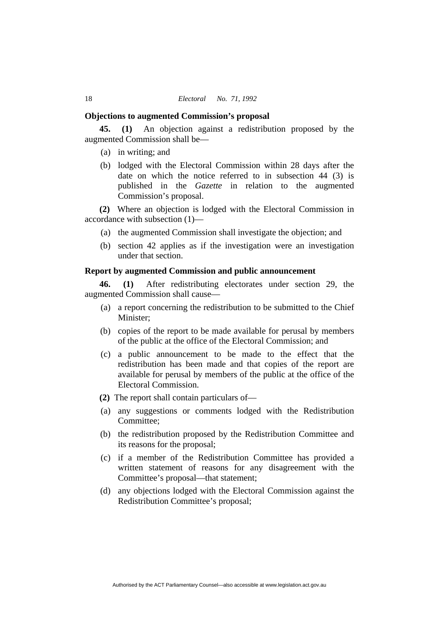#### **Objections to augmented Commission's proposal**

**45. (1)** An objection against a redistribution proposed by the augmented Commission shall be—

- (a) in writing; and
- (b) lodged with the Electoral Commission within 28 days after the date on which the notice referred to in subsection 44 (3) is published in the *Gazette* in relation to the augmented Commission's proposal.

**(2)** Where an objection is lodged with the Electoral Commission in accordance with subsection (1)—

- (a) the augmented Commission shall investigate the objection; and
- (b) section 42 applies as if the investigation were an investigation under that section.

# **Report by augmented Commission and public announcement**

**46. (1)** After redistributing electorates under section 29, the augmented Commission shall cause—

- (a) a report concerning the redistribution to be submitted to the Chief Minister;
- (b) copies of the report to be made available for perusal by members of the public at the office of the Electoral Commission; and
- (c) a public announcement to be made to the effect that the redistribution has been made and that copies of the report are available for perusal by members of the public at the office of the Electoral Commission.
- **(2)** The report shall contain particulars of—
- (a) any suggestions or comments lodged with the Redistribution Committee;
- (b) the redistribution proposed by the Redistribution Committee and its reasons for the proposal;
- (c) if a member of the Redistribution Committee has provided a written statement of reasons for any disagreement with the Committee's proposal—that statement;
- (d) any objections lodged with the Electoral Commission against the Redistribution Committee's proposal;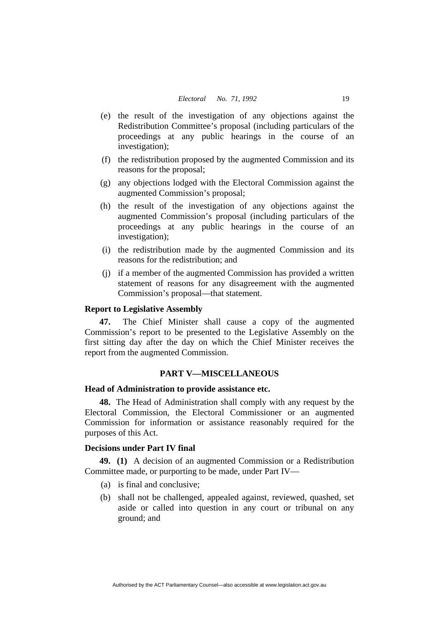- (e) the result of the investigation of any objections against the Redistribution Committee's proposal (including particulars of the proceedings at any public hearings in the course of an investigation);
- (f) the redistribution proposed by the augmented Commission and its reasons for the proposal;
- (g) any objections lodged with the Electoral Commission against the augmented Commission's proposal;
- (h) the result of the investigation of any objections against the augmented Commission's proposal (including particulars of the proceedings at any public hearings in the course of an investigation);
- (i) the redistribution made by the augmented Commission and its reasons for the redistribution; and
- (j) if a member of the augmented Commission has provided a written statement of reasons for any disagreement with the augmented Commission's proposal—that statement.

# **Report to Legislative Assembly**

**47.** The Chief Minister shall cause a copy of the augmented Commission's report to be presented to the Legislative Assembly on the first sitting day after the day on which the Chief Minister receives the report from the augmented Commission.

# **PART V—MISCELLANEOUS**

## **Head of Administration to provide assistance etc.**

**48.** The Head of Administration shall comply with any request by the Electoral Commission, the Electoral Commissioner or an augmented Commission for information or assistance reasonably required for the purposes of this Act.

# **Decisions under Part IV final**

**49. (1)** A decision of an augmented Commission or a Redistribution Committee made, or purporting to be made, under Part IV—

- (a) is final and conclusive;
- (b) shall not be challenged, appealed against, reviewed, quashed, set aside or called into question in any court or tribunal on any ground; and